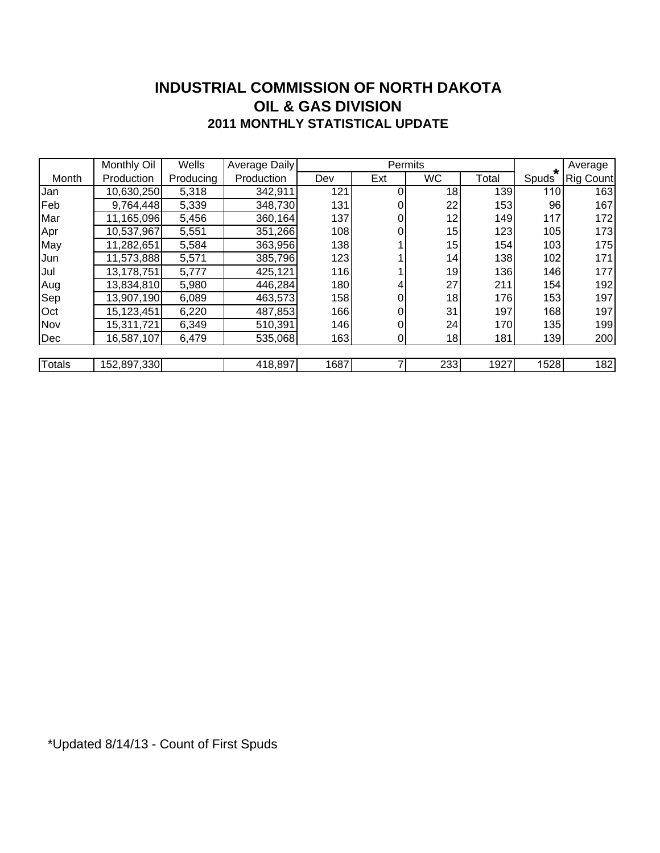#### **INDUSTRIAL COMMISSION OF NORTH DAKOTA 2011 MONTHLY STATISTICAL UPDATE OIL & GAS DIVISION**

|               | Monthly Oil | Wells     | <b>Average Daily</b> |      | Permits |           |       | $\star$    | Average          |
|---------------|-------------|-----------|----------------------|------|---------|-----------|-------|------------|------------------|
| Month         | Production  | Producing | Production           | Dev  | Ext     | <b>WC</b> | Total | Spuds      | <b>Rig Count</b> |
| Jan           | 10,630,250  | 5,318     | 342,911              | 121  | 0       | 18        | 139   | <b>110</b> | 163              |
| Feb           | 9,764,448   | 5,339     | 348,730              | 131  | 0       | 22        | 153   | 96         | 167              |
| Mar           | 11,165,096  | 5,456     | 360,164              | 137  | 0       | 12        | 149   | 117        | 172              |
| Apr           | 10,537,967  | 5,551     | 351,266              | 108  | 01      | 15        | 123   | 105        | 173              |
| May           | 11,282,651  | 5,584     | 363,956              | 138  |         | 15        | 154   | 103        | 175              |
| Jun           | 11,573,888  | 5,571     | 385,796              | 123  |         | 14        | 138   | 102        | 171              |
| Jul           | 13,178,751  | 5,777     | 425,121              | 116  |         | 19        | 136   | 146        | 177              |
| Aug           | 13,834,810  | 5,980     | 446,284              | 180  | 4       | 27        | 211   | 154        | 192              |
| Sep           | 13,907,190  | 6,089     | 463,573              | 158  | 01      | 18        | 176   | 153        | 197              |
| Oct           | 15,123,451  | 6,220     | 487,853              | 166  |         | 31        | 197   | 168        | 197              |
| Nov           | 15,311,721  | 6,349     | 510,391              | 146  | 0       | 24        | 170   | 135        | 199              |
| Dec           | 16,587,107  | 6,479     | 535,068              | 163  | 01      | 18        | 181   | 139        | 200              |
|               |             |           |                      |      |         |           |       |            |                  |
| <b>Totals</b> | 152,897,330 |           | 418,897              | 1687 |         | 233       | 1927  | 1528       | 182              |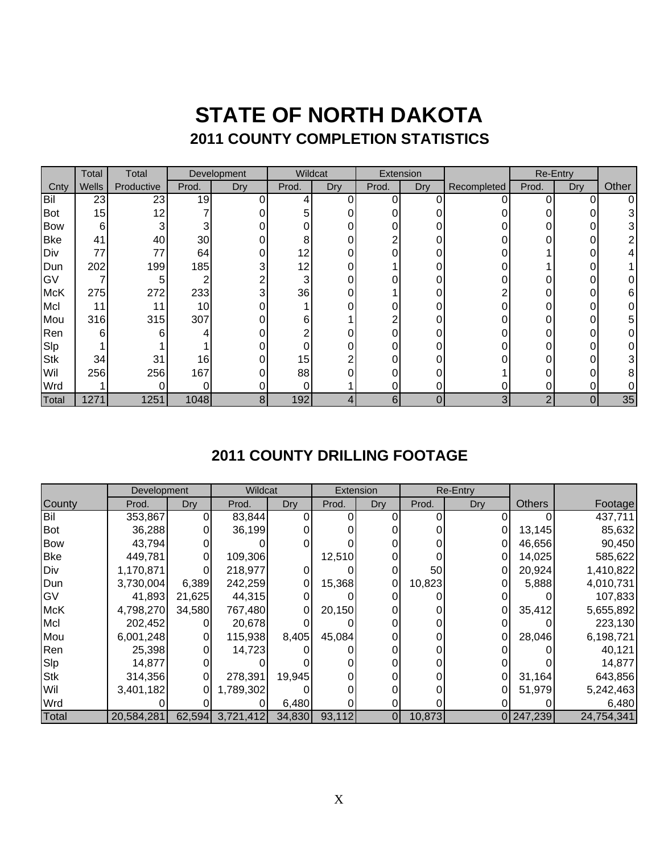### **STATE OF NORTH DAKOTA 2011 COUNTY COMPLETION STATISTICS**

|              | Total | Total      | Development |                | Wildcat |     | Extension |     |             |       | Re-Entry |       |
|--------------|-------|------------|-------------|----------------|---------|-----|-----------|-----|-------------|-------|----------|-------|
| Cnty         | Wells | Productive | Prod.       | Dry            | Prod.   | Dry | Prod.     | Dry | Recompleted | Prod. | Dry      | Other |
| Bil          | 23    | 23         | 19          |                | 4       | ი   | ი         | ი   | ი           | 0     | 0        | 0     |
| <b>Bot</b>   | 15    | 12         |             |                | 5       |     |           |     |             |       |          | 3     |
| <b>Bow</b>   | 6     | 3          | 3           |                |         |     |           | 0   |             |       |          | 3     |
| <b>Bke</b>   | 41    | 40         | 30          |                | 8       |     | ⌒         |     |             | 0     | 0        |       |
| Div          | 77    | 77         | 64          |                | 12      |     |           |     |             |       |          |       |
| Dun          | 202   | 199        | 185         | 3              | 12      |     |           |     |             |       |          |       |
| GV           |       | 5          |             |                | 3       |     |           |     |             |       |          | 0     |
| <b>McK</b>   | 275   | 272        | 233         | 3              | 36      |     |           |     |             |       |          | 6     |
| Mcl          | 11    | 11         | 10          |                |         |     |           |     |             |       |          |       |
| Mou          | 316   | 315        | 307         |                | 6       |     |           |     |             | 0     |          | 5     |
| Ren          | 6     | 6          |             |                |         |     |           |     |             | 0     |          |       |
| Slp          |       |            |             |                |         |     |           |     |             | 0     |          |       |
| <b>Stk</b>   | 34    | 31         | 16          |                | 15      |     |           | 0   |             |       |          | 3     |
| Wil          | 256   | 256        | 167         |                | 88      |     |           |     |             |       |          | 8     |
| Wrd          |       | O          |             |                |         |     |           | 0   | 0           | 0     |          |       |
| <b>Total</b> | 1271  | 1251       | 1048        | 8 <sub>l</sub> | 192     |     | 6         | 0   | 3           | 2     | 0        | 35    |

### **2011 COUNTY DRILLING FOOTAGE**

|            | Development |        | Wildcat          |        |        | Extension      | <b>Re-Entry</b> |     |               |            |
|------------|-------------|--------|------------------|--------|--------|----------------|-----------------|-----|---------------|------------|
| County     | Prod.       | Dry    | Prod.            | Dry    | Prod.  | Dry            | Prod.           | Dry | <b>Others</b> | Footage    |
| Bil        | 353,867     |        | 83,844           |        |        |                |                 |     |               | 437,711    |
| Bot        | 36,288      |        | 36,199           |        |        |                |                 |     | 13,145        | 85,632     |
| <b>Bow</b> | 43,794      |        |                  |        |        |                |                 |     | 46,656        | 90,450     |
| <b>Bke</b> | 449,781     |        | 109,306          |        | 12,510 |                |                 |     | 14,025        | 585,622    |
| Div        | 1,170,871   |        | 218,977          |        |        |                | 50              |     | 20,924        | 1,410,822  |
| Dun        | 3,730,004   | 6,389  | 242,259          |        | 15,368 |                | 10,823          |     | 5,888         | 4,010,731  |
| GV         | 41,893      | 21,625 | 44,315           |        |        |                |                 |     |               | 107,833    |
| <b>McK</b> | 4,798,270   | 34,580 | 767,480          |        | 20,150 |                |                 |     | 35,412        | 5,655,892  |
| Mcl        | 202,452     |        | 20,678           |        |        |                |                 |     |               | 223,130    |
| Mou        | 6,001,248   | 01     | 115,938          | 8,405  | 45,084 |                |                 |     | 28,046        | 6,198,721  |
| Ren        | 25,398      |        | 14,723           |        |        |                |                 |     |               | 40,121     |
| Slp        | 14,877      |        |                  |        |        |                |                 |     |               | 14,877     |
| <b>Stk</b> | 314,356     | 0      | 278,391          | 19,945 |        |                |                 | 0   | 31,164        | 643,856    |
| Wil        | 3,401,182   | 0      | 1,789,302        |        |        |                |                 |     | 51,979        | 5,242,463  |
| Wrd        |             |        |                  | 6,480  |        |                |                 |     |               | 6,480      |
| Total      | 20,584,281  |        | 62,594 3,721,412 | 34,830 | 93,112 | $\overline{0}$ | 10,873          |     | 0 247,239     | 24,754,341 |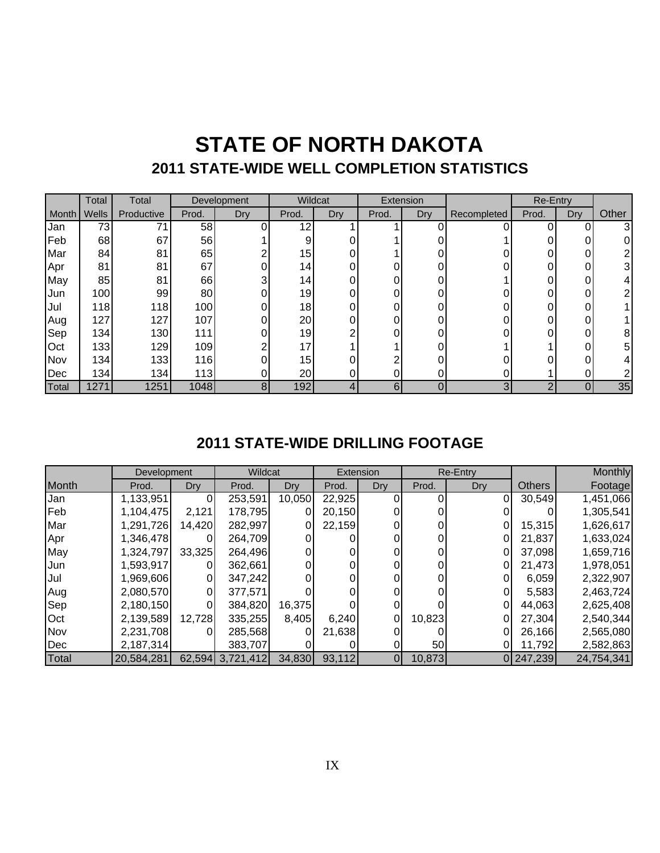## **STATE OF NORTH DAKOTA 2011 STATE-WIDE WELL COMPLETION STATISTICS**

|       | Total            | Total      | Development |                | Wildcat         |     | Extension |     |             | <b>Re-Entry</b> |     |       |
|-------|------------------|------------|-------------|----------------|-----------------|-----|-----------|-----|-------------|-----------------|-----|-------|
| Month | Wells            | Productive | Prod.       | Dry            | Prod.           | Dry | Prod.     | Dry | Recompleted | Prod.           | Dry | Other |
| Jan   | 73               | 71         | 58          |                | 12              |     |           |     |             | 0               |     | 3     |
| Feb   | 68               | 67         | 56          |                | 9               |     |           |     |             |                 |     |       |
| Mar   | 84               | 81         | 65          |                | 15              |     |           |     |             | 0               | 0   |       |
| Apr   | 81               | 81         | 67          |                | 14 <sub>1</sub> |     |           |     |             | 0               |     | 31    |
| May   | 85               | 81         | 66          | 3              | 14 <sub>1</sub> |     |           |     |             | 0               |     |       |
| Jun   | 100              | 99         | 80          | 01             | 19              |     | 0         |     |             | 0               | 0   |       |
| Jul   | 118              | 118        | 100         | 0              | 18              |     |           |     |             | 0               | 0   |       |
| Aug   | 127              | 127        | 107         |                | 20              | ი   | ი         | ∩   |             | 0               | 0   |       |
| Sep   | 134              | 130        | 111         |                | 19              | ⌒   |           |     |             | 0               | 0   | 8     |
| Oct   | 133              | 129        | 109         | ⌒              | 17              |     |           | ∩   |             |                 | ი   | 5.    |
| Nov   | 134              | 133        | 116         |                | 15              |     |           |     |             | ი               |     |       |
| Dec   | 134 <sub>1</sub> | 134        | $113$       |                | 20              |     |           |     |             |                 |     |       |
| Total | 1271             | 1251       | 1048        | 8 <sub>l</sub> | 192             |     | 6         | 0   | 3           | ◠               |     | 35    |

### **2011 STATE-WIDE DRILLING FOOTAGE**

|       | Development |          | Wildcat          |        |        | Extension      | Re-Entry |     |               | Monthly    |
|-------|-------------|----------|------------------|--------|--------|----------------|----------|-----|---------------|------------|
| Month | Prod.       | Dry      | Prod.            | Dry    | Prod.  | Dry            | Prod.    | Dry | <b>Others</b> | Footage    |
| Jan   | 1,133,951   | 0        | 253,591          | 10,050 | 22,925 |                |          | 0   | 30,549        | 1,451,066  |
| Feb   | 1,104,475   | 2,121    | 178,795          | 0      | 20,150 |                |          |     |               | 1,305,541  |
| Mar   | 1,291,726   | 14,420   | 282,997          | 0      | 22,159 |                |          |     | 15,315        | 1,626,617  |
| Apr   | 1,346,478   |          | 264,709          |        |        |                |          |     | 21,837        | 1,633,024  |
| May   | 1,324,797   | 33,325   | 264,496          |        |        |                |          |     | 37,098        | 1,659,716  |
| Jun   | 1,593,917   |          | 362,661          |        |        |                |          |     | 21,473        | 1,978,051  |
| Jul   | 1,969,606   | 0        | 347,242          |        |        |                |          |     | 6,059         | 2,322,907  |
| Aug   | 2,080,570   | 0        | 377,571          |        |        |                |          |     | 5,583         | 2,463,724  |
| Sep   | 2,180,150   | $\Omega$ | 384,820          | 16,375 |        |                |          |     | 44,063        | 2,625,408  |
| Oct   | 2,139,589   | 12,728   | 335,255          | 8,405  | 6,240  | $\overline{0}$ | 10,823   |     | 27,304        | 2,540,344  |
| Nov   | 2,231,708   | 0        | 285,568          | O      | 21,638 |                |          |     | 26,166        | 2,565,080  |
| Dec   | 2,187,314   |          | 383,707          |        |        |                | 50       |     | 11,792        | 2,582,863  |
| Total | 20,584,281  |          | 62,594 3,721,412 | 34,830 | 93,112 |                | 10,873   |     | 0 247,239     | 24,754,341 |